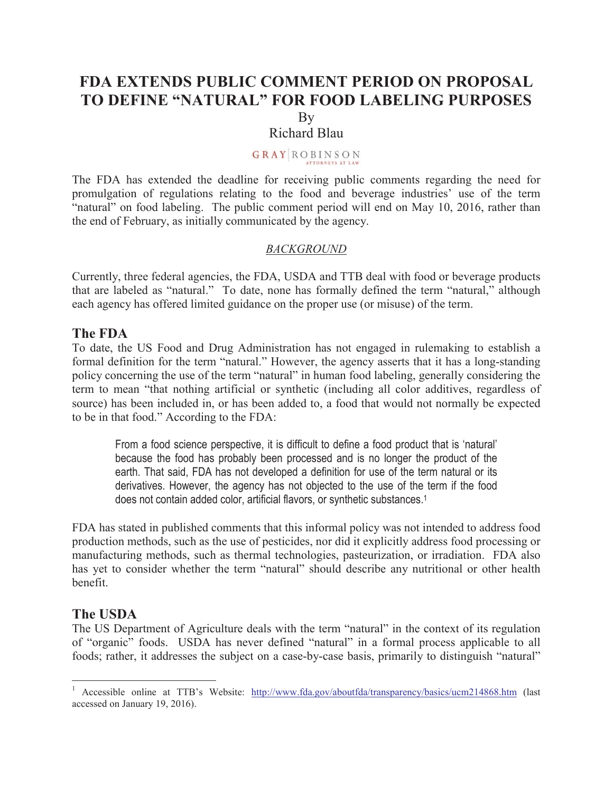# **FDA EXTENDS PUBLIC COMMENT PERIOD ON PROPOSAL TO DEFINE "NATURAL" FOR FOOD LABELING PURPOSES** By

### Richard Blau

### **GRAY ROBINSON**

The FDA has extended the deadline for receiving public comments regarding the need for promulgation of regulations relating to the food and beverage industries' use of the term "natural" on food labeling. The public comment period will end on May 10, 2016, rather than the end of February, as initially communicated by the agency.

#### *BACKGROUND*

Currently, three federal agencies, the FDA, USDA and TTB deal with food or beverage products that are labeled as "natural." To date, none has formally defined the term "natural," although each agency has offered limited guidance on the proper use (or misuse) of the term.

#### **The FDA**

To date, the US Food and Drug Administration has not engaged in rulemaking to establish a formal definition for the term "natural." However, the agency asserts that it has a long-standing policy concerning the use of the term "natural" in human food labeling, generally considering the term to mean "that nothing artificial or synthetic (including all color additives, regardless of source) has been included in, or has been added to, a food that would not normally be expected to be in that food." According to the FDA:

From a food science perspective, it is difficult to define a food product that is 'natural' because the food has probably been processed and is no longer the product of the earth. That said, FDA has not developed a definition for use of the term natural or its derivatives. However, the agency has not objected to the use of the term if the food does not contain added color, artificial flavors, or synthetic substances.<sup>1</sup>

FDA has stated in published comments that this informal policy was not intended to address food production methods, such as the use of pesticides, nor did it explicitly address food processing or manufacturing methods, such as thermal technologies, pasteurization, or irradiation. FDA also has yet to consider whether the term "natural" should describe any nutritional or other health benefit.

### **The USDA**

 $\overline{a}$ 

The US Department of Agriculture deals with the term "natural" in the context of its regulation of "organic" foods. USDA has never defined "natural" in a formal process applicable to all foods; rather, it addresses the subject on a case-by-case basis, primarily to distinguish "natural"

<sup>&</sup>lt;sup>1</sup> Accessible online at TTB's Website: http://www.fda.gov/aboutfda/transparency/basics/ucm214868.htm (last accessed on January 19, 2016).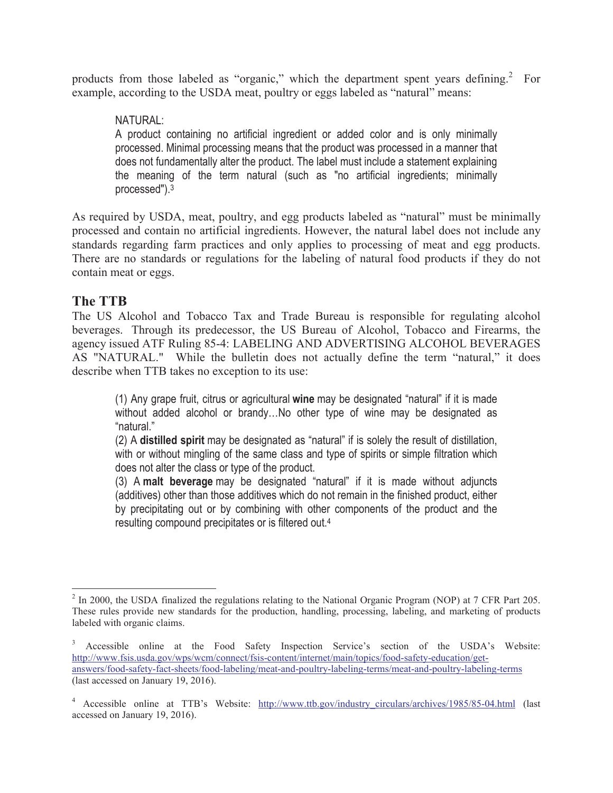products from those labeled as "organic," which the department spent years defining. $2$  For example, according to the USDA meat, poultry or eggs labeled as "natural" means:

## NATURAL:

A product containing no artificial ingredient or added color and is only minimally processed. Minimal processing means that the product was processed in a manner that does not fundamentally alter the product. The label must include a statement explaining the meaning of the term natural (such as "no artificial ingredients; minimally processed").<sup>3</sup>

As required by USDA, meat, poultry, and egg products labeled as "natural" must be minimally processed and contain no artificial ingredients. However, the natural label does not include any standards regarding farm practices and only applies to processing of meat and egg products. There are no standards or regulations for the labeling of natural food products if they do not contain meat or eggs.

# **The TTB**

The US Alcohol and Tobacco Tax and Trade Bureau is responsible for regulating alcohol beverages. Through its predecessor, the US Bureau of Alcohol, Tobacco and Firearms, the agency issued ATF Ruling 85-4: LABELING AND ADVERTISING ALCOHOL BEVERAGES AS "NATURAL." While the bulletin does not actually define the term "natural," it does describe when TTB takes no exception to its use:

(1) Any grape fruit, citrus or agricultural **wine** may be designated "natural" if it is made without added alcohol or brandy…No other type of wine may be designated as "natural."

(2) A **distilled spirit** may be designated as "natural" if is solely the result of distillation, with or without mingling of the same class and type of spirits or simple filtration which does not alter the class or type of the product.

(3) A **malt beverage** may be designated "natural" if it is made without adjuncts (additives) other than those additives which do not remain in the finished product, either by precipitating out or by combining with other components of the product and the resulting compound precipitates or is filtered out.<sup>4</sup>

<sup>&</sup>lt;sup>2</sup> In 2000, the USDA finalized the regulations relating to the National Organic Program (NOP) at 7 CFR Part 205. These rules provide new standards for the production, handling, processing, labeling, and marketing of products labeled with organic claims.

<sup>3</sup> Accessible online at the Food Safety Inspection Service's section of the USDA's Website: http://www.fsis.usda.gov/wps/wcm/connect/fsis-content/internet/main/topics/food-safety-education/getanswers/food-safety-fact-sheets/food-labeling/meat-and-poultry-labeling-terms/meat-and-poultry-labeling-terms (last accessed on January 19, 2016).

<sup>&</sup>lt;sup>4</sup> Accessible online at TTB's Website: http://www.ttb.gov/industry\_circulars/archives/1985/85-04.html (last accessed on January 19, 2016).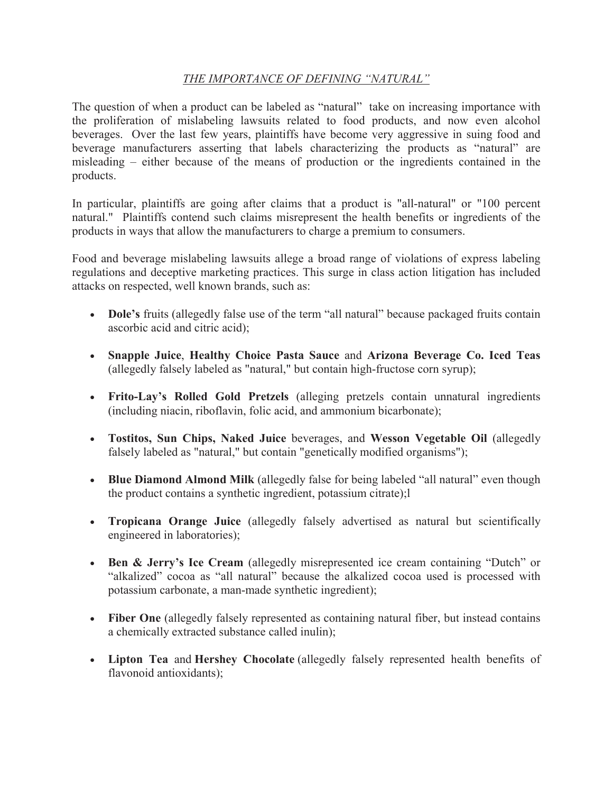#### *THE IMPORTANCE OF DEFINING "NATURAL"*

The question of when a product can be labeled as "natural" take on increasing importance with the proliferation of mislabeling lawsuits related to food products, and now even alcohol beverages. Over the last few years, plaintiffs have become very aggressive in suing food and beverage manufacturers asserting that labels characterizing the products as "natural" are misleading – either because of the means of production or the ingredients contained in the products.

In particular, plaintiffs are going after claims that a product is "all-natural" or "100 percent natural." Plaintiffs contend such claims misrepresent the health benefits or ingredients of the products in ways that allow the manufacturers to charge a premium to consumers.

Food and beverage mislabeling lawsuits allege a broad range of violations of express labeling regulations and deceptive marketing practices. This surge in class action litigation has included attacks on respected, well known brands, such as:

- **Dole's** fruits (allegedly false use of the term "all natural" because packaged fruits contain ascorbic acid and citric acid);
- **Snapple Juice**, **Healthy Choice Pasta Sauce** and **Arizona Beverage Co. Iced Teas** (allegedly falsely labeled as "natural," but contain high-fructose corn syrup);
- **Frito-Lay's Rolled Gold Pretzels** (alleging pretzels contain unnatural ingredients (including niacin, riboflavin, folic acid, and ammonium bicarbonate);
- **Tostitos, Sun Chips, Naked Juice** beverages, and **Wesson Vegetable Oil** (allegedly falsely labeled as "natural," but contain "genetically modified organisms");
- **Blue Diamond Almond Milk** (allegedly false for being labeled "all natural" even though the product contains a synthetic ingredient, potassium citrate);l
- **Tropicana Orange Juice** (allegedly falsely advertised as natural but scientifically engineered in laboratories);
- **Ben & Jerry's Ice Cream** (allegedly misrepresented ice cream containing "Dutch" or "alkalized" cocoa as "all natural" because the alkalized cocoa used is processed with potassium carbonate, a man-made synthetic ingredient);
- **Fiber One** (allegedly falsely represented as containing natural fiber, but instead contains a chemically extracted substance called inulin);
- **Lipton Tea** and **Hershey Chocolate** (allegedly falsely represented health benefits of flavonoid antioxidants);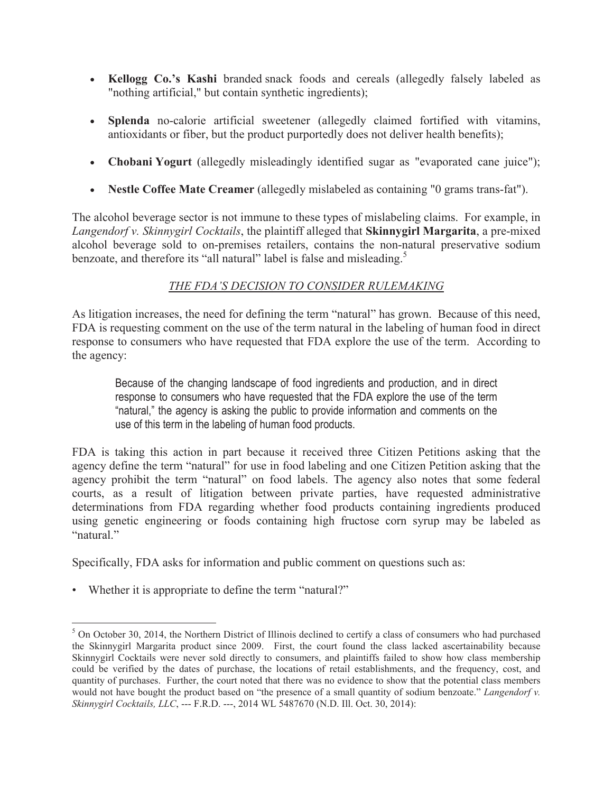- **Kellogg Co.'s Kashi** branded snack foods and cereals (allegedly falsely labeled as "nothing artificial," but contain synthetic ingredients);
- **Splenda** no-calorie artificial sweetener (allegedly claimed fortified with vitamins, antioxidants or fiber, but the product purportedly does not deliver health benefits);
- **Chobani Yogurt** (allegedly misleadingly identified sugar as "evaporated cane juice");
- **Nestle Coffee Mate Creamer** (allegedly mislabeled as containing "0 grams trans-fat").

The alcohol beverage sector is not immune to these types of mislabeling claims. For example, in *Langendorf v. Skinnygirl Cocktails*, the plaintiff alleged that **Skinnygirl Margarita**, a pre-mixed alcohol beverage sold to on-premises retailers, contains the non-natural preservative sodium benzoate, and therefore its "all natural" label is false and misleading.<sup>5</sup>

### *THE FDA'S DECISION TO CONSIDER RULEMAKING*

As litigation increases, the need for defining the term "natural" has grown. Because of this need, FDA is requesting comment on the use of the term natural in the labeling of human food in direct response to consumers who have requested that FDA explore the use of the term. According to the agency:

Because of the changing landscape of food ingredients and production, and in direct response to consumers who have requested that the FDA explore the use of the term "natural," the agency is asking the public to provide information and comments on the use of this term in the labeling of human food products.

FDA is taking this action in part because it received three Citizen Petitions asking that the agency define the term "natural" for use in food labeling and one Citizen Petition asking that the agency prohibit the term "natural" on food labels. The agency also notes that some federal courts, as a result of litigation between private parties, have requested administrative determinations from FDA regarding whether food products containing ingredients produced using genetic engineering or foods containing high fructose corn syrup may be labeled as "natural."

Specifically, FDA asks for information and public comment on questions such as:

• Whether it is appropriate to define the term "natural?"

 $\overline{a}$  $5$  On October 30, 2014, the Northern District of Illinois declined to certify a class of consumers who had purchased the Skinnygirl Margarita product since 2009. First, the court found the class lacked ascertainability because Skinnygirl Cocktails were never sold directly to consumers, and plaintiffs failed to show how class membership could be verified by the dates of purchase, the locations of retail establishments, and the frequency, cost, and quantity of purchases. Further, the court noted that there was no evidence to show that the potential class members would not have bought the product based on "the presence of a small quantity of sodium benzoate." *Langendorf v. Skinnygirl Cocktails, LLC*, --- F.R.D. ---, 2014 WL 5487670 (N.D. Ill. Oct. 30, 2014):